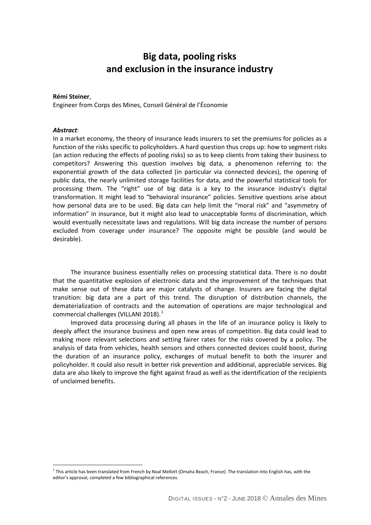# **Big data, pooling risks and exclusion in the insurance industry**

#### **Rémi Steiner**,

Engineer from Corps des Mines, Conseil Général de l'Économie

#### *Abstract*:

 $\overline{a}$ 

In a market economy, the theory of insurance leads insurers to set the premiums for policies as a function of the risks specific to policyholders. A hard question thus crops up: how to segment risks (an action reducing the effects of pooling risks) so as to keep clients from taking their business to competitors? Answering this question involves big data, a phenomenon referring to: the exponential growth of the data collected (in particular via connected devices), the opening of public data, the nearly unlimited storage facilities for data, and the powerful statistical tools for processing them. The "right" use of big data is a key to the insurance industry's digital transformation. It might lead to "behavioral insurance" policies. Sensitive questions arise about how personal data are to be used. Big data can help limit the "moral risk" and "asymmetry of information" in insurance, but it might also lead to unacceptable forms of discrimination, which would eventually necessitate laws and regulations. Will big data increase the number of persons excluded from coverage under insurance? The opposite might be possible (and would be desirable).

The insurance business essentially relies on processing statistical data. There is no doubt that the quantitative explosion of electronic data and the improvement of the techniques that make sense out of these data are major catalysts of change. Insurers are facing the digital transition: big data are a part of this trend. The disruption of distribution channels, the dematerialization of contracts and the automation of operations are major technological and commercial challenges (VILLANI 20[1](#page-0-0)8).<sup>1</sup>

Improved data processing during all phases in the life of an insurance policy is likely to deeply affect the insurance business and open new areas of competition. Big data could lead to making more relevant selections and setting fairer rates for the risks covered by a policy. The analysis of data from vehicles, health sensors and others connected devices could boost, during the duration of an insurance policy, exchanges of mutual benefit to both the insurer and policyholder. It could also result in better risk prevention and additional, appreciable services. Big data are also likely to improve the fight against fraud as well as the identification of the recipients of unclaimed benefits.

<span id="page-0-0"></span> $1$  This article has been translated from French by Noal Mellott (Omaha Beach, France). The translation into English has, with the editor's approval, completed a few bibliographical references.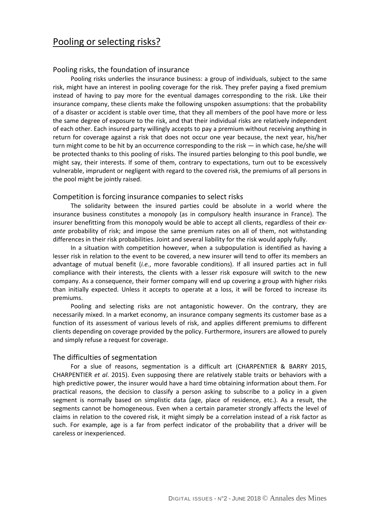# Pooling or selecting risks?

#### Pooling risks, the foundation of insurance

Pooling risks underlies the insurance business: a group of individuals, subject to the same risk, might have an interest in pooling coverage for the risk. They prefer paying a fixed premium instead of having to pay more for the eventual damages corresponding to the risk. Like their insurance company, these clients make the following unspoken assumptions: that the probability of a disaster or accident is stable over time, that they all members of the pool have more or less the same degree of exposure to the risk, and that their individual risks are relatively independent of each other. Each insured party willingly accepts to pay a premium without receiving anything in return for coverage against a risk that does not occur one year because, the next year, his/her turn might come to be hit by an occurrence corresponding to the risk — in which case, he/she will be protected thanks to this pooling of risks. The insured parties belonging to this pool bundle, we might say, their interests. If some of them, contrary to expectations, turn out to be excessively vulnerable, imprudent or negligent with regard to the covered risk, the premiums of all persons in the pool might be jointly raised.

#### Competition is forcing insurance companies to select risks

The solidarity between the insured parties could be absolute in a world where the insurance business constitutes a monopoly (as in compulsory health insurance in France). The insurer benefitting from this monopoly would be able to accept all clients, regardless of their *exante* probability of risk; and impose the same premium rates on all of them, not withstanding differences in their risk probabilities. Joint and several liability for the risk would apply fully.

In a situation with competition however, when a subpopulation is identified as having a lesser risk in relation to the event to be covered, a new insurer will tend to offer its members an advantage of mutual benefit (*i.e.*, more favorable conditions). If all insured parties act in full compliance with their interests, the clients with a lesser risk exposure will switch to the new company. As a consequence, their former company will end up covering a group with higher risks than initially expected. Unless it accepts to operate at a loss, it will be forced to increase its premiums.

Pooling and selecting risks are not antagonistic however. On the contrary, they are necessarily mixed. In a market economy, an insurance company segments its customer base as a function of its assessment of various levels of risk, and applies different premiums to different clients depending on coverage provided by the policy. Furthermore, insurers are allowed to purely and simply refuse a request for coverage.

#### The difficulties of segmentation

For a slue of reasons, segmentation is a difficult art (CHARPENTIER & BARRY 2015, CHARPENTIER *et al*. 2015). Even supposing there are relatively stable traits or behaviors with a high predictive power, the insurer would have a hard time obtaining information about them. For practical reasons, the decision to classify a person asking to subscribe to a policy in a given segment is normally based on simplistic data (age, place of residence, etc.). As a result, the segments cannot be homogeneous. Even when a certain parameter strongly affects the level of claims in relation to the covered risk, it might simply be a correlation instead of a risk factor as such. For example, age is a far from perfect indicator of the probability that a driver will be careless or inexperienced.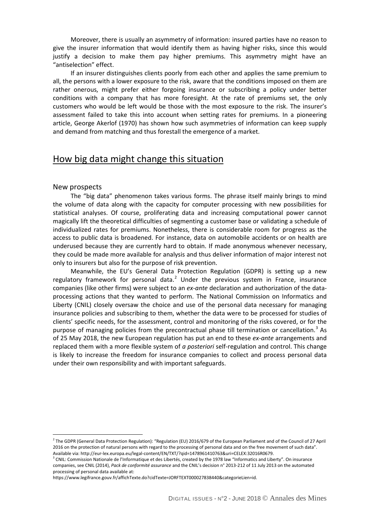Moreover, there is usually an asymmetry of information: insured parties have no reason to give the insurer information that would identify them as having higher risks, since this would justify a decision to make them pay higher premiums. This asymmetry might have an "antiselection" effect.

If an insurer distinguishes clients poorly from each other and applies the same premium to all, the persons with a lower exposure to the risk, aware that the conditions imposed on them are rather onerous, might prefer either forgoing insurance or subscribing a policy under better conditions with a company that has more foresight. At the rate of premiums set, the only customers who would be left would be those with the most exposure to the risk. The insurer's assessment failed to take this into account when setting rates for premiums. In a pioneering article, George Akerlof (1970) has shown how such asymmetries of information can keep supply and demand from matching and thus forestall the emergence of a market.

### How big data might change this situation

#### New prospects

 $\overline{a}$ 

The "big data" phenomenon takes various forms. The phrase itself mainly brings to mind the volume of data along with the capacity for computer processing with new possibilities for statistical analyses. Of course, proliferating data and increasing computational power cannot magically lift the theoretical difficulties of segmenting a customer base or validating a schedule of individualized rates for premiums. Nonetheless, there is considerable room for progress as the access to public data is broadened. For instance, data on automobile accidents or on health are underused because they are currently hard to obtain. If made anonymous whenever necessary, they could be made more available for analysis and thus deliver information of major interest not only to insurers but also for the purpose of risk prevention.

Meanwhile, the EU's General Data Protection Regulation (GDPR) is setting up a new regulatory framework for personal data. $<sup>2</sup>$  $<sup>2</sup>$  $<sup>2</sup>$  Under the previous system in France, insurance</sup> companies (like other firms) were subject to an *ex-ante* declaration and authorization of the dataprocessing actions that they wanted to perform. The National Commission on Informatics and Liberty (CNIL) closely oversaw the choice and use of the personal data necessary for managing insurance policies and subscribing to them, whether the data were to be processed for studies of clients' specific needs, for the assessment, control and monitoring of the risks covered, or for the purpose of managing policies from the precontractual phase till termination or cancellation.<sup>[3](#page-2-1)</sup> As of 25 May 2018, the new European regulation has put an end to these *ex-ante* arrangements and replaced them with a more flexible system of *a posteriori* self-regulation and control. This change is likely to increase the freedom for insurance companies to collect and process personal data under their own responsibility and with important safeguards.

<span id="page-2-0"></span><sup>&</sup>lt;sup>2</sup> The GDPR (General Data Protection Regulation): "Regulation (EU) 2016/679 of the European Parliament and of the Council of 27 April 2016 on the protection of natural persons with regard to the processing of personal data and on the free movement of such data". Available via: http://eur-lex.europa.eu/legal-content/EN/TXT/?qid=1478961410763&uri=CELEX:32016R0679.<br><sup>3</sup> CNIL: Commission Nationale de l'Informatique et des Libertés, created by the 1978 law "Informatics and Liberty". On

<span id="page-2-1"></span>companies, see CNIL (2014), *Pack de conformité assurance* and the CNIL's decision n° 2013-212 of 11 July 2013 on the automated processing of personal data available at:

https://www.legifrance.gouv.fr/affichTexte.do?cidTexte=JORFTEXT000027838440&categorieLien=id.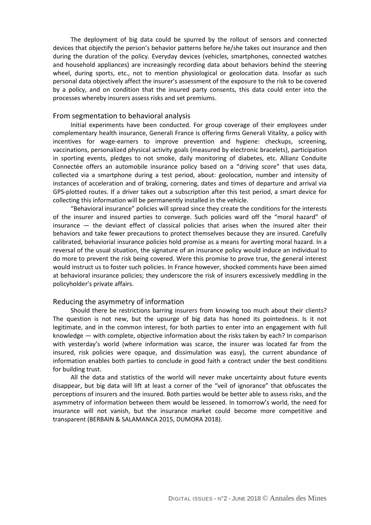The deployment of big data could be spurred by the rollout of sensors and connected devices that objectify the person's behavior patterns before he/she takes out insurance and then during the duration of the policy. Everyday devices (vehicles, smartphones, connected watches and household appliances) are increasingly recording data about behaviors behind the steering wheel, during sports, etc., not to mention physiological or geolocation data. Insofar as such personal data objectively affect the insurer's assessment of the exposure to the risk to be covered by a policy, and on condition that the insured party consents, this data could enter into the processes whereby insurers assess risks and set premiums.

#### From segmentation to behavioral analysis

Initial experiments have been conducted. For group coverage of their employees under complementary health insurance, Generali France is offering firms Generali Vitality, a policy with incentives for wage-earners to improve prevention and hygiene: checkups, screening, vaccinations, personalized physical activity goals (measured by electronic bracelets), participation in sporting events, pledges to not smoke, daily monitoring of diabetes, etc. Allianz Conduite Connectée offers an automobile insurance policy based on a "driving score" that uses data, collected via a smartphone during a test period, about: geolocation, number and intensity of instances of acceleration and of braking, cornering, dates and times of departure and arrival via GPS-plotted routes. If a driver takes out a subscription after this test period, a smart device for collecting this information will be permanently installed in the vehicle.

"Behavioral insurance" policies will spread since they create the conditions for the interests of the insurer and insured parties to converge. Such policies ward off the "moral hazard" of insurance — the deviant effect of classical policies that arises when the insured alter their behaviors and take fewer precautions to protect themselves because they are insured. Carefully calibrated, behaviorial insurance policies hold promise as a means for averting moral hazard. In a reversal of the usual situation, the signature of an insurance policy would induce an individual to do more to prevent the risk being covered. Were this promise to prove true, the general interest would instruct us to foster such policies. In France however, shocked comments have been aimed at behavioral insurance policies; they underscore the risk of insurers excessively meddling in the policyholder's private affairs.

#### Reducing the asymmetry of information

Should there be restrictions barring insurers from knowing too much about their clients? The question is not new, but the upsurge of big data has honed its pointedness. Is it not legitimate, and in the common interest, for both parties to enter into an engagement with full knowledge — with complete, objective information about the risks taken by each? In comparison with yesterday's world (where information was scarce, the insurer was located far from the insured, risk policies were opaque, and dissimulation was easy), the current abundance of information enables both parties to conclude in good faith a contract under the best conditions for building trust.

All the data and statistics of the world will never make uncertainty about future events disappear, but big data will lift at least a corner of the "veil of ignorance" that obfuscates the perceptions of insurers and the insured. Both parties would be better able to assess risks, and the asymmetry of information between them would be lessened. In tomorrow's world, the need for insurance will not vanish, but the insurance market could become more competitive and transparent (BERBAIN & SALAMANCA 2015, DUMORA 2018).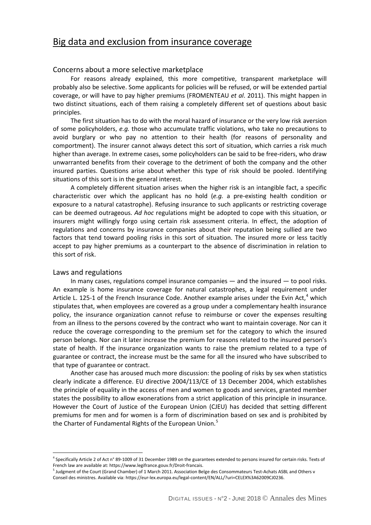# Big data and exclusion from insurance coverage

#### Concerns about a more selective marketplace

For reasons already explained, this more competitive, transparent marketplace will probably also be selective. Some applicants for policies will be refused, or will be extended partial coverage, or will have to pay higher premiums (FROMENTEAU *et al*. 2011). This might happen in two distinct situations, each of them raising a completely different set of questions about basic principles.

The first situation has to do with the moral hazard of insurance or the very low risk aversion of some policyholders, *e.g.* those who accumulate traffic violations, who take no precautions to avoid burglary or who pay no attention to their health (for reasons of personality and comportment). The insurer cannot always detect this sort of situation, which carries a risk much higher than average. In extreme cases, some policyholders can be said to be free-riders, who draw unwarranted benefits from their coverage to the detriment of both the company and the other insured parties. Questions arise about whether this type of risk should be pooled. Identifying situations of this sort is in the general interest.

A completely different situation arises when the higher risk is an intangible fact, a specific characteristic over which the applicant has no hold (*e.g.* a pre-existing health condition or exposure to a natural catastrophe). Refusing insurance to such applicants or restricting coverage can be deemed outrageous. *Ad hoc* regulations might be adopted to cope with this situation, or insurers might willingly forgo using certain risk assessment criteria. In effect, the adoption of regulations and concerns by insurance companies about their reputation being sullied are two factors that tend toward pooling risks in this sort of situation. The insured more or less tacitly accept to pay higher premiums as a counterpart to the absence of discrimination in relation to this sort of risk.

#### Laws and regulations

 $\overline{a}$ 

In many cases, regulations compel insurance companies  $-$  and the insured  $-$  to pool risks. An example is home insurance coverage for natural catastrophes, a legal requirement under Article L. 125-1 of the French Insurance Code. Another example arises under the Evin Act, $4$  which stipulates that, when employees are covered as a group under a complementary health insurance policy, the insurance organization cannot refuse to reimburse or cover the expenses resulting from an illness to the persons covered by the contract who want to maintain coverage. Nor can it reduce the coverage corresponding to the premium set for the category to which the insured person belongs. Nor can it later increase the premium for reasons related to the insured person's state of health. If the insurance organization wants to raise the premium related to a type of guarantee or contract, the increase must be the same for all the insured who have subscribed to that type of guarantee or contract.

Another case has aroused much more discussion: the pooling of risks by sex when statistics clearly indicate a difference. EU directive 2004/113/CE of 13 December 2004, which establishes the principle of equality in the access of men and women to goods and services, granted member states the possibility to allow exonerations from a strict application of this principle in insurance. However the Court of Justice of the European Union (CJEU) has decided that setting different premiums for men and for women is a form of discrimination based on sex and is prohibited by the Charter of Fundamental Rights of the European Union.<sup>[5](#page-4-1)</sup>

<span id="page-4-0"></span> $4$  Specifically Article 2 of Act n° 89-1009 of 31 December 1989 on the guarantees extended to persons insured for certain risks. Texts of French law are available at: https://www.legifrance.gouv.fr/Droit-francais.

<span id="page-4-1"></span><sup>5</sup> Judgment of the Court (Grand Chamber) of 1 March 2011. Association Belge des Consommateurs Test-Achats ASBL and Others v Conseil des ministres. Available via: https://eur-lex.europa.eu/legal-content/EN/ALL/?uri=CELEX%3A62009CJ0236.